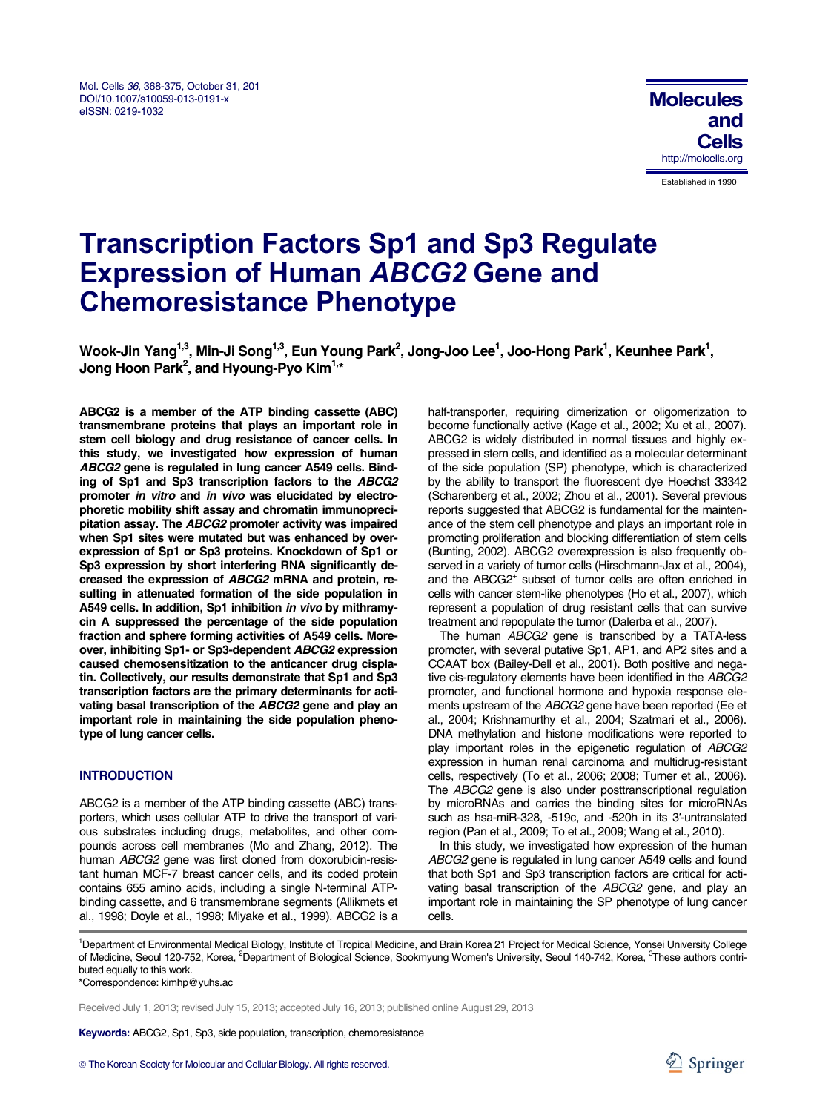#### Mol. Cells *36*, 368-375, October 31, 2013 DOI/10.1007/s10059-013-0191-x eISSN: 0219-1032



# **Transcription Factors Sp1 and Sp3 Regulate Expression of Human** *ABCG2* **Gene and Chemoresistance Phenotype**

Wook-Jin Yang<sup>1,3</sup>, Min-Ji Song<sup>1,3</sup>, Eun Young Park<sup>2</sup>, Jong-Joo Lee<sup>1</sup>, Joo-Hong Park<sup>1</sup>, Keunhee Park<sup>1</sup>, **Jong Hoon Park2 , and Hyoung-Pyo Kim1,\*** 

**ABCG2 is a member of the ATP binding cassette (ABC) transmembrane proteins that plays an important role in stem cell biology and drug resistance of cancer cells. In this study, we investigated how expression of human**  *ABCG2* **gene is regulated in lung cancer A549 cells. Binding of Sp1 and Sp3 transcription factors to the** *ABCG2* **promoter** *in vitro* **and** *in vivo* **was elucidated by electrophoretic mobility shift assay and chromatin immunoprecipitation assay. The** *ABCG2* **promoter activity was impaired when Sp1 sites were mutated but was enhanced by overexpression of Sp1 or Sp3 proteins. Knockdown of Sp1 or Sp3 expression by short interfering RNA significantly decreased the expression of** *ABCG2* **mRNA and protein, resulting in attenuated formation of the side population in A549 cells. In addition, Sp1 inhibition** *in vivo* **by mithramycin A suppressed the percentage of the side population fraction and sphere forming activities of A549 cells. Moreover, inhibiting Sp1- or Sp3-dependent** *ABCG2* **expression caused chemosensitization to the anticancer drug cisplatin. Collectively, our results demonstrate that Sp1 and Sp3 transcription factors are the primary determinants for activating basal transcription of the** *ABCG2* **gene and play an important role in maintaining the side population phenotype of lung cancer cells.** 

# **INTRODUCTION**

ABCG2 is a member of the ATP binding cassette (ABC) transporters, which uses cellular ATP to drive the transport of various substrates including drugs, metabolites, and other compounds across cell membranes (Mo and Zhang, 2012). The human *ABCG2* gene was first cloned from doxorubicin-resistant human MCF-7 breast cancer cells, and its coded protein contains 655 amino acids, including a single N-terminal ATPbinding cassette, and 6 transmembrane segments (Allikmets et al., 1998; Doyle et al., 1998; Miyake et al., 1999). ABCG2 is a half-transporter, requiring dimerization or oligomerization to become functionally active (Kage et al., 2002; Xu et al., 2007). ABCG2 is widely distributed in normal tissues and highly expressed in stem cells, and identified as a molecular determinant of the side population (SP) phenotype, which is characterized by the ability to transport the fluorescent dye Hoechst 33342 (Scharenberg et al., 2002; Zhou et al., 2001). Several previous reports suggested that ABCG2 is fundamental for the maintenance of the stem cell phenotype and plays an important role in promoting proliferation and blocking differentiation of stem cells (Bunting, 2002). ABCG2 overexpression is also frequently observed in a variety of tumor cells (Hirschmann-Jax et al., 2004), and the ABCG2<sup>+</sup> subset of tumor cells are often enriched in cells with cancer stem-like phenotypes (Ho et al., 2007), which represent a population of drug resistant cells that can survive treatment and repopulate the tumor (Dalerba et al., 2007).

The human *ABCG2* gene is transcribed by a TATA-less promoter, with several putative Sp1, AP1, and AP2 sites and a CCAAT box (Bailey-Dell et al., 2001). Both positive and negative cis-regulatory elements have been identified in the *ABCG2* promoter, and functional hormone and hypoxia response elements upstream of the *ABCG2* gene have been reported (Ee et al., 2004; Krishnamurthy et al., 2004; Szatmari et al., 2006). DNA methylation and histone modifications were reported to play important roles in the epigenetic regulation of *ABCG2* expression in human renal carcinoma and multidrug-resistant cells, respectively (To et al., 2006; 2008; Turner et al., 2006). The *ABCG2* gene is also under posttranscriptional regulation by microRNAs and carries the binding sites for microRNAs such as hsa-miR-328, -519c, and -520h in its 3′-untranslated region (Pan et al., 2009; To et al., 2009; Wang et al., 2010).

In this study, we investigated how expression of the human *ABCG2* gene is regulated in lung cancer A549 cells and found that both Sp1 and Sp3 transcription factors are critical for activating basal transcription of the *ABCG2* gene, and play an important role in maintaining the SP phenotype of lung cancer cells.

<sup>1</sup>Department of Environmental Medical Biology, Institute of Tropical Medicine, and Brain Korea 21 Project for Medical Science, Yonsei University College of Medicine, Seoul 120-752, Korea, <sup>2</sup>Department of Biological Science, Sookmyung Women's University, Seoul 140-742, Korea, <sup>3</sup>These authors contributed equally to this work.

\*Correspondence: kimhp@yuhs.ac

Received July 1, 2013; revised July 15, 2013; accepted July 16, 2013; published online August 29, 2013

**Keywords:** ABCG2, Sp1, Sp3, side population, transcription, chemoresistance

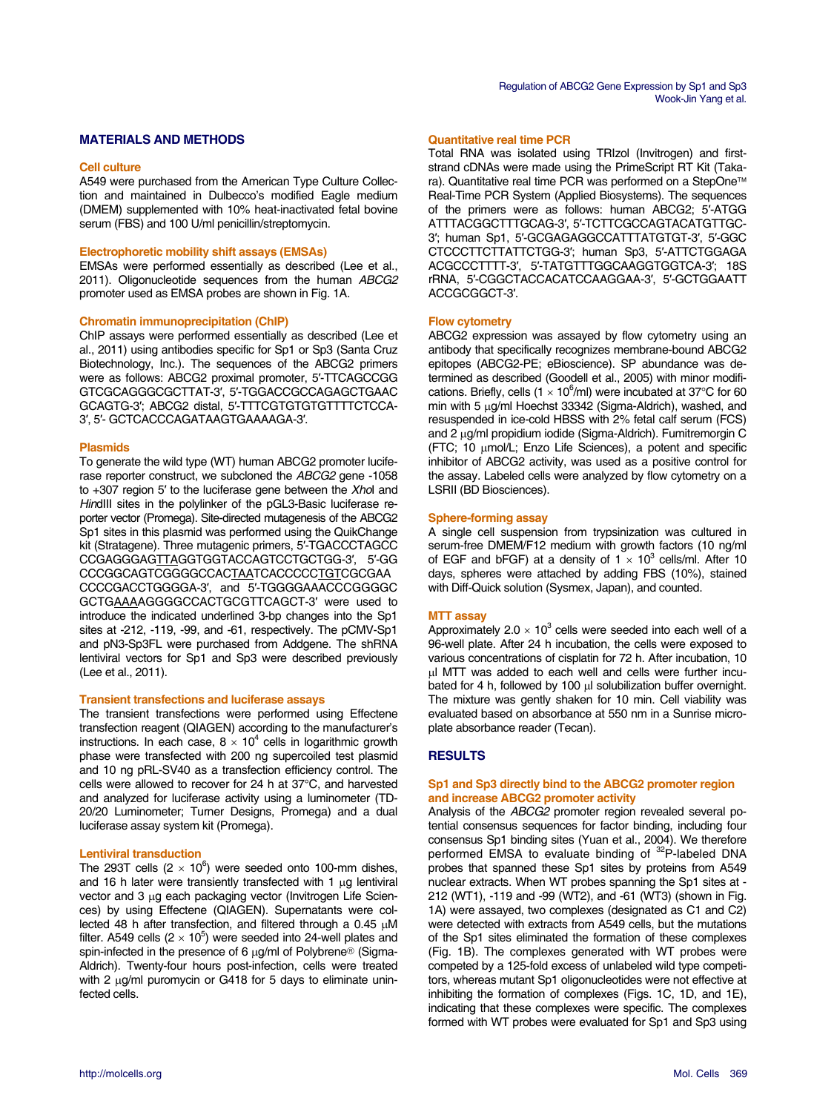# **MATERIALS AND METHODS**

#### **Cell culture**

A549 were purchased from the American Type Culture Collection and maintained in Dulbecco's modified Eagle medium (DMEM) supplemented with 10% heat-inactivated fetal bovine serum (FBS) and 100 U/ml penicillin/streptomycin.

## **Electrophoretic mobility shift assays (EMSAs)**

EMSAs were performed essentially as described (Lee et al., 2011). Oligonucleotide sequences from the human *ABCG2* promoter used as EMSA probes are shown in Fig. 1A.

## **Chromatin immunoprecipitation (ChIP)**

ChIP assays were performed essentially as described (Lee et al., 2011) using antibodies specific for Sp1 or Sp3 (Santa Cruz Biotechnology, Inc.). The sequences of the ABCG2 primers were as follows: ABCG2 proximal promoter, 5′-TTCAGCCGG GTCGCAGGGCGCTTAT-3′, 5′-TGGACCGCCAGAGCTGAAC GCAGTG-3′; ABCG2 distal, 5′-TTTCGTGTGTGTTTTCTCCA-3′, 5′- GCTCACCCAGATAAGTGAAAAGA-3′.

#### **Plasmids**

To generate the wild type (WT) human ABCG2 promoter luciferase reporter construct, we subcloned the *ABCG2* gene -1058 to +307 region 5′ to the luciferase gene between the *Xho*I and *HindIII* sites in the polylinker of the pGL3-Basic luciferase reporter vector (Promega). Site-directed mutagenesis of the ABCG2 Sp1 sites in this plasmid was performed using the QuikChange kit (Stratagene). Three mutagenic primers, 5′-TGACCCTAGCC CCGAGGGAGTTAGGTGGTACCAGTCCTGCTGG-3′, 5′-GG CCCGGCAGTCGGGGCCACTAATCACCCCCTGTCGCGAA CCCCGACCTGGGGA-3′, and 5′-TGGGGAAACCCGGGGC GCTGAAAAGGGGCCACTGCGTTCAGCT-3′ were used to introduce the indicated underlined 3-bp changes into the Sp1 sites at -212, -119, -99, and -61, respectively. The pCMV-Sp1 and pN3-Sp3FL were purchased from Addgene. The shRNA lentiviral vectors for Sp1 and Sp3 were described previously (Lee et al., 2011).

#### **Transient transfections and luciferase assays**

The transient transfections were performed using Effectene transfection reagent (QIAGEN) according to the manufacturer's instructions. In each case,  $8 \times 10^4$  cells in logarithmic growth phase were transfected with 200 ng supercoiled test plasmid and 10 ng pRL-SV40 as a transfection efficiency control. The cells were allowed to recover for 24 h at 37°C, and harvested and analyzed for luciferase activity using a luminometer (TD-20/20 Luminometer; Turner Designs, Promega) and a dual luciferase assay system kit (Promega).

## **Lentiviral transduction**

The 293T cells (2  $\times$  10<sup>6</sup>) were seeded onto 100-mm dishes, and 16 h later were transiently transfected with 1 μg lentiviral vector and 3 μg each packaging vector (Invitrogen Life Sciences) by using Effectene (QIAGEN). Supernatants were collected 48 h after transfection, and filtered through a 0.45 μM filter. A549 cells  $(2 \times 10^5)$  were seeded into 24-well plates and spin-infected in the presence of 6 μg/ml of Polybrene® (Sigma-Aldrich). Twenty-four hours post-infection, cells were treated with 2 μg/ml puromycin or G418 for 5 days to eliminate uninfected cells.

# **Quantitative real time PCR**

Total RNA was isolated using TRIzol (Invitrogen) and firststrand cDNAs were made using the PrimeScript RT Kit (Takara). Quantitative real time PCR was performed on a StepOne™ Real-Time PCR System (Applied Biosystems). The sequences of the primers were as follows: human ABCG2; 5′-ATGG ATTTACGGCTTTGCAG-3′, 5′-TCTTCGCCAGTACATGTTGC-3′; human Sp1, 5′-GCGAGAGGCCATTTATGTGT-3′, 5′-GGC CTCCCTTCTTATTCTGG-3′; human Sp3, 5′-ATTCTGGAGA ACGCCCTTTT-3′, 5′-TATGTTTGGCAAGGTGGTCA-3′; 18S rRNA, 5′-CGGCTACCACATCCAAGGAA-3′, 5′-GCTGGAATT ACCGCGGCT-3′.

## **Flow cytometry**

ABCG2 expression was assayed by flow cytometry using an antibody that specifically recognizes membrane-bound ABCG2 epitopes (ABCG2-PE; eBioscience). SP abundance was determined as described (Goodell et al., 2005) with minor modifications. Briefly, cells (1  $\times$  10<sup>6</sup>/ml) were incubated at 37°C for 60 min with 5 μg/ml Hoechst 33342 (Sigma-Aldrich), washed, and resuspended in ice-cold HBSS with 2% fetal calf serum (FCS) and 2 μg/ml propidium iodide (Sigma-Aldrich). Fumitremorgin C (FTC; 10 μmol/L; Enzo Life Sciences), a potent and specific inhibitor of ABCG2 activity, was used as a positive control for the assay. Labeled cells were analyzed by flow cytometry on a LSRII (BD Biosciences).

#### **Sphere-forming assay**

A single cell suspension from trypsinization was cultured in serum-free DMEM/F12 medium with growth factors (10 ng/ml of EGF and bFGF) at a density of  $1 \times 10^3$  cells/ml. After 10 days, spheres were attached by adding FBS (10%), stained with Diff-Quick solution (Sysmex, Japan), and counted.

## **MTT assay**

Approximately 2.0  $\times$  10<sup>3</sup> cells were seeded into each well of a 96-well plate. After 24 h incubation, the cells were exposed to various concentrations of cisplatin for 72 h. After incubation, 10 μl MTT was added to each well and cells were further incubated for 4 h, followed by 100 μl solubilization buffer overnight. The mixture was gently shaken for 10 min. Cell viability was evaluated based on absorbance at 550 nm in a Sunrise microplate absorbance reader (Tecan).

## **RESULTS**

## **Sp1 and Sp3 directly bind to the ABCG2 promoter region and increase ABCG2 promoter activity**

Analysis of the *ABCG2* promoter region revealed several potential consensus sequences for factor binding, including four consensus Sp1 binding sites (Yuan et al., 2004). We therefore performed EMSA to evaluate binding of 32P-labeled DNA probes that spanned these Sp1 sites by proteins from A549 nuclear extracts. When WT probes spanning the Sp1 sites at - 212 (WT1), -119 and -99 (WT2), and -61 (WT3) (shown in Fig. 1A) were assayed, two complexes (designated as C1 and C2) were detected with extracts from A549 cells, but the mutations of the Sp1 sites eliminated the formation of these complexes (Fig. 1B). The complexes generated with WT probes were competed by a 125-fold excess of unlabeled wild type competitors, whereas mutant Sp1 oligonucleotides were not effective at inhibiting the formation of complexes (Figs. 1C, 1D, and 1E), indicating that these complexes were specific. The complexes formed with WT probes were evaluated for Sp1 and Sp3 using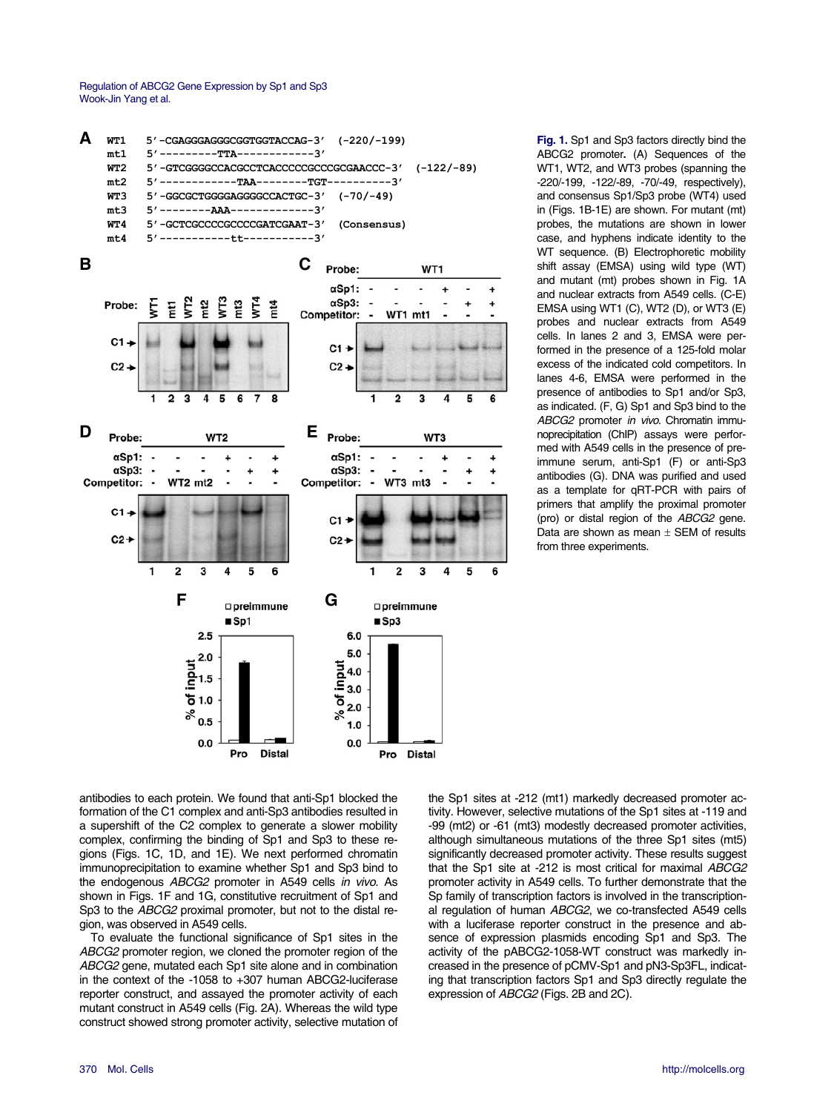

**Fig. 1.** Sp1 and Sp3 factors directly bind the ABCG2 promoter**.** (A) Sequences of the WT1, WT2, and WT3 probes (spanning the -220/-199, -122/-89, -70/-49, respectively), and consensus Sp1/Sp3 probe (WT4) used in (Figs. 1B-1E) are shown. For mutant (mt) probes, the mutations are shown in lower case, and hyphens indicate identity to the WT sequence. (B) Electrophoretic mobility shift assay (EMSA) using wild type (WT) and mutant (mt) probes shown in Fig. 1A and nuclear extracts from A549 cells. (C-E) EMSA using WT1 (C), WT2 (D), or WT3 (E) probes and nuclear extracts from A549 cells. In lanes 2 and 3, EMSA were performed in the presence of a 125-fold molar excess of the indicated cold competitors. In lanes 4-6, EMSA were performed in the presence of antibodies to Sp1 and/or Sp3, as indicated. (F, G) Sp1 and Sp3 bind to the *ABCG2* promoter *in vivo*. Chromatin immunoprecipitation (ChIP) assays were performed with A549 cells in the presence of preimmune serum, anti-Sp1 (F) or anti-Sp3 antibodies (G). DNA was purified and used as a template for qRT-PCR with pairs of primers that amplify the proximal promoter (pro) or distal region of the *ABCG2* gene. Data are shown as mean  $\pm$  SEM of results from three experiments.

antibodies to each protein. We found that anti-Sp1 blocked the formation of the C1 complex and anti-Sp3 antibodies resulted in a supershift of the C2 complex to generate a slower mobility complex, confirming the binding of Sp1 and Sp3 to these regions (Figs. 1C, 1D, and 1E). We next performed chromatin immunoprecipitation to examine whether Sp1 and Sp3 bind to the endogenous *ABCG2* promoter in A549 cells *in vivo*. As shown in Figs. 1F and 1G, constitutive recruitment of Sp1 and Sp3 to the *ABCG2* proximal promoter, but not to the distal region, was observed in A549 cells.

To evaluate the functional significance of Sp1 sites in the *ABCG2* promoter region, we cloned the promoter region of the *ABCG2* gene, mutated each Sp1 site alone and in combination in the context of the -1058 to +307 human ABCG2-luciferase reporter construct, and assayed the promoter activity of each mutant construct in A549 cells (Fig. 2A). Whereas the wild type construct showed strong promoter activity, selective mutation of

the Sp1 sites at -212 (mt1) markedly decreased promoter activity. However, selective mutations of the Sp1 sites at -119 and -99 (mt2) or -61 (mt3) modestly decreased promoter activities, although simultaneous mutations of the three Sp1 sites (mt5) significantly decreased promoter activity. These results suggest that the Sp1 site at -212 is most critical for maximal *ABCG2* promoter activity in A549 cells. To further demonstrate that the Sp family of transcription factors is involved in the transcriptional regulation of human *ABCG2*, we co-transfected A549 cells with a luciferase reporter construct in the presence and absence of expression plasmids encoding Sp1 and Sp3. The activity of the pABCG2-1058-WT construct was markedly increased in the presence of pCMV-Sp1 and pN3-Sp3FL, indicating that transcription factors Sp1 and Sp3 directly regulate the expression of *ABCG2* (Figs. 2B and 2C).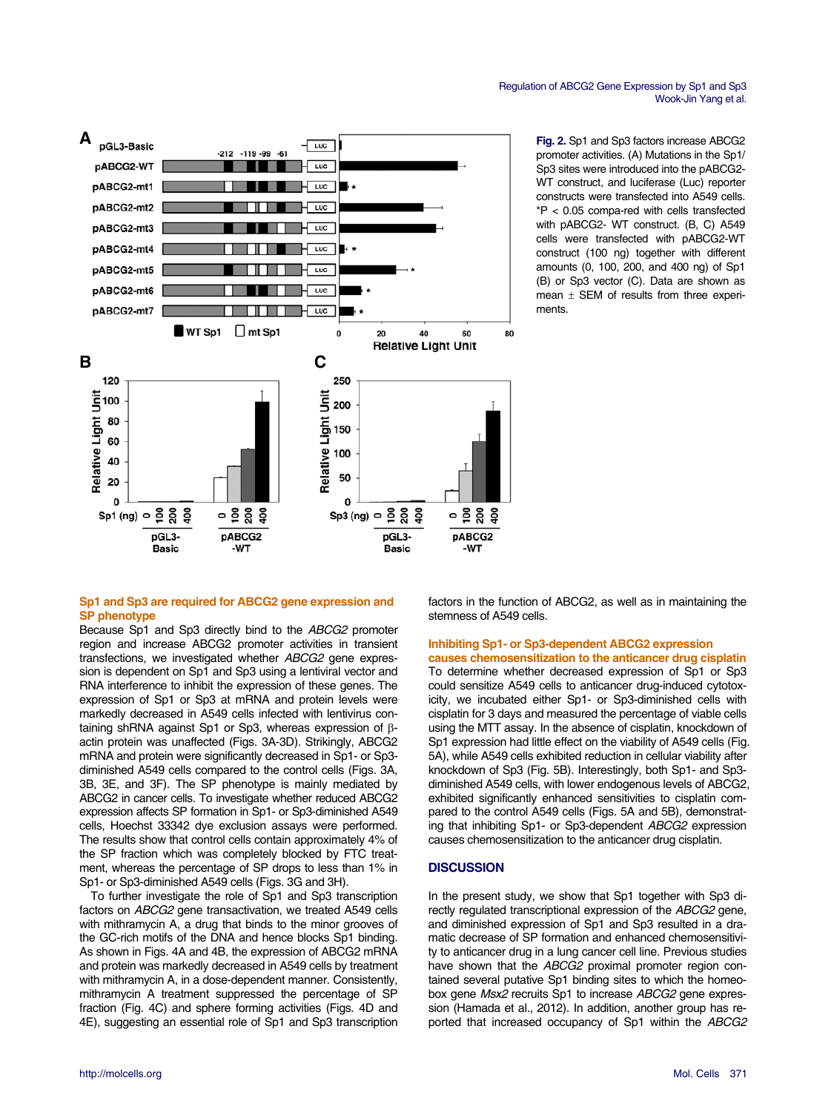



**Fig. 2.** Sp1 and Sp3 factors increase ABCG2 promoter activities. (A) Mutations in the Sp1/ Sp3 sites were introduced into the pABCG2- WT construct, and luciferase (Luc) reporter constructs were transfected into A549 cells. \*P < 0.05 compa-red with cells transfected with pABCG2- WT construct. (B, C) A549 cells were transfected with pABCG2-WT construct (100 ng) together with different amounts (0, 100, 200, and 400 ng) of Sp1 (B) or Sp3 vector (C). Data are shown as mean  $\pm$  SEM of results from three experiments.

# **Sp1 and Sp3 are required for ABCG2 gene expression and SP phenotype**

Because Sp1 and Sp3 directly bind to the *ABCG2* promoter region and increase ABCG2 promoter activities in transient transfections, we investigated whether *ABCG2* gene expression is dependent on Sp1 and Sp3 using a lentiviral vector and RNA interference to inhibit the expression of these genes. The expression of Sp1 or Sp3 at mRNA and protein levels were markedly decreased in A549 cells infected with lentivirus containing shRNA against Sp1 or Sp3, whereas expression of βactin protein was unaffected (Figs. 3A-3D). Strikingly, ABCG2 mRNA and protein were significantly decreased in Sp1- or Sp3 diminished A549 cells compared to the control cells (Figs. 3A, 3B, 3E, and 3F). The SP phenotype is mainly mediated by ABCG2 in cancer cells. To investigate whether reduced ABCG2 expression affects SP formation in Sp1- or Sp3-diminished A549 cells, Hoechst 33342 dye exclusion assays were performed. The results show that control cells contain approximately 4% of the SP fraction which was completely blocked by FTC treatment, whereas the percentage of SP drops to less than 1% in Sp1- or Sp3-diminished A549 cells (Figs. 3G and 3H).

To further investigate the role of Sp1 and Sp3 transcription factors on *ABCG2* gene transactivation, we treated A549 cells with mithramycin A, a drug that binds to the minor grooves of the GC-rich motifs of the DNA and hence blocks Sp1 binding. As shown in Figs. 4A and 4B, the expression of ABCG2 mRNA and protein was markedly decreased in A549 cells by treatment with mithramycin A, in a dose-dependent manner. Consistently, mithramycin A treatment suppressed the percentage of SP fraction (Fig. 4C) and sphere forming activities (Figs. 4D and 4E), suggesting an essential role of Sp1 and Sp3 transcription factors in the function of ABCG2, as well as in maintaining the stemness of A549 cells.

#### **Inhibiting Sp1- or Sp3-dependent ABCG2 expression causes chemosensitization to the anticancer drug cisplatin**

To determine whether decreased expression of Sp1 or Sp3 could sensitize A549 cells to anticancer drug-induced cytotoxicity, we incubated either Sp1- or Sp3-diminished cells with cisplatin for 3 days and measured the percentage of viable cells using the MTT assay. In the absence of cisplatin, knockdown of Sp1 expression had little effect on the viability of A549 cells (Fig. 5A), while A549 cells exhibited reduction in cellular viability after knockdown of Sp3 (Fig. 5B). Interestingly, both Sp1- and Sp3 diminished A549 cells, with lower endogenous levels of ABCG2, exhibited significantly enhanced sensitivities to cisplatin compared to the control A549 cells (Figs. 5A and 5B), demonstrating that inhibiting Sp1- or Sp3-dependent *ABCG2* expression causes chemosensitization to the anticancer drug cisplatin.

# **DISCUSSION**

In the present study, we show that Sp1 together with Sp3 directly regulated transcriptional expression of the *ABCG2* gene, and diminished expression of Sp1 and Sp3 resulted in a dramatic decrease of SP formation and enhanced chemosensitivity to anticancer drug in a lung cancer cell line. Previous studies have shown that the *ABCG2* proximal promoter region contained several putative Sp1 binding sites to which the homeobox gene *Msx2* recruits Sp1 to increase *ABCG2* gene expression (Hamada et al., 2012). In addition, another group has reported that increased occupancy of Sp1 within the *ABCG2*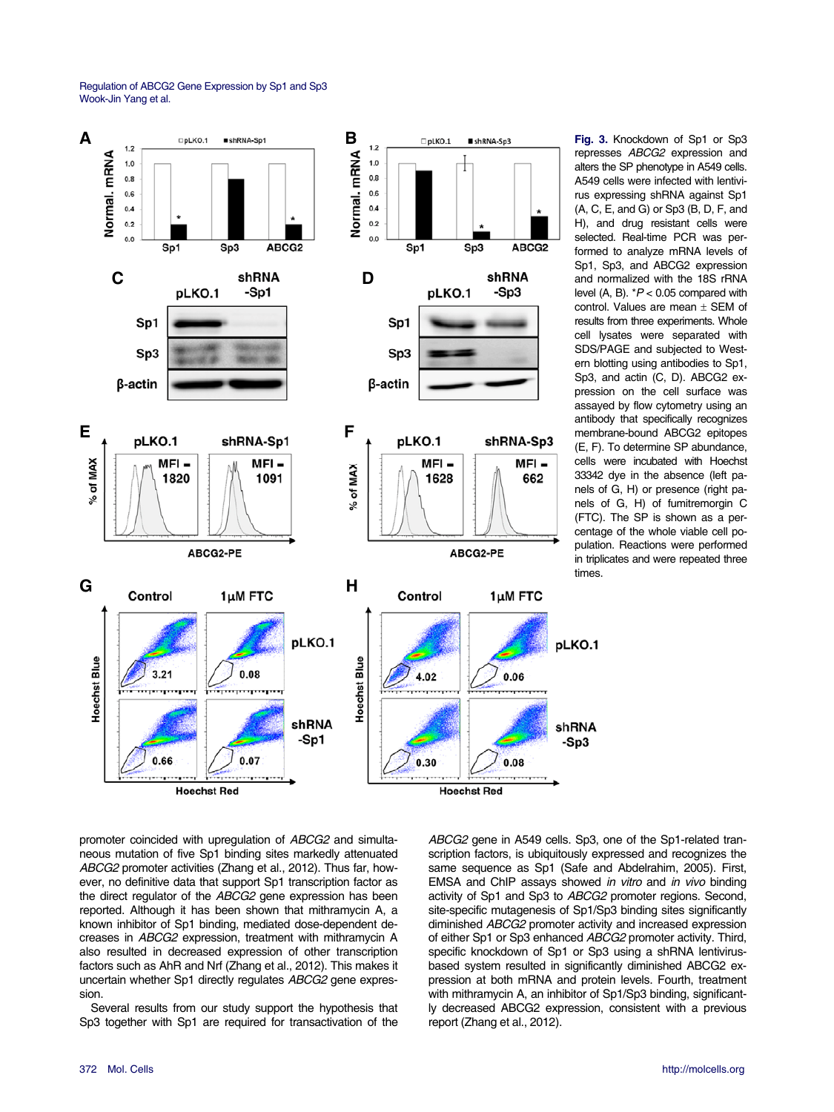

**Fig. 3.** Knockdown of Sp1 or Sp3 represses *ABCG2* expression and alters the SP phenotype in A549 cells. A549 cells were infected with lentivirus expressing shRNA against Sp1 (A, C, E, and G) or Sp3 (B, D, F, and H), and drug resistant cells were selected. Real-time PCR was performed to analyze mRNA levels of Sp1, Sp3, and ABCG2 expression and normalized with the 18S rRNA level (A, B). \**P* < 0.05 compared with control. Values are mean  $\pm$  SEM of results from three experiments. Whole cell lysates were separated with SDS/PAGE and subjected to Western blotting using antibodies to Sp1, Sp3, and actin (C, D). ABCG2 expression on the cell surface was assayed by flow cytometry using an antibody that specifically recognizes membrane-bound ABCG2 epitopes (E, F). To determine SP abundance, cells were incubated with Hoechst 33342 dye in the absence (left panels of G, H) or presence (right panels of G, H) of fumitremorgin C (FTC). The SP is shown as a percentage of the whole viable cell population. Reactions were performed in triplicates and were repeated three times.

promoter coincided with upregulation of *ABCG2* and simultaneous mutation of five Sp1 binding sites markedly attenuated *ABCG2* promoter activities (Zhang et al., 2012). Thus far, however, no definitive data that support Sp1 transcription factor as the direct regulator of the *ABCG2* gene expression has been reported. Although it has been shown that mithramycin A, a known inhibitor of Sp1 binding, mediated dose-dependent decreases in *ABCG2* expression, treatment with mithramycin A also resulted in decreased expression of other transcription factors such as AhR and Nrf (Zhang et al., 2012). This makes it uncertain whether Sp1 directly regulates *ABCG2* gene expression.

Several results from our study support the hypothesis that Sp3 together with Sp1 are required for transactivation of the *ABCG2* gene in A549 cells. Sp3, one of the Sp1-related transcription factors, is ubiquitously expressed and recognizes the same sequence as Sp1 (Safe and Abdelrahim, 2005). First, EMSA and ChIP assays showed *in vitro* and *in vivo* binding activity of Sp1 and Sp3 to *ABCG2* promoter regions. Second, site-specific mutagenesis of Sp1/Sp3 binding sites significantly diminished *ABCG2* promoter activity and increased expression of either Sp1 or Sp3 enhanced *ABCG2* promoter activity. Third, specific knockdown of Sp1 or Sp3 using a shRNA lentivirusbased system resulted in significantly diminished ABCG2 expression at both mRNA and protein levels. Fourth, treatment with mithramycin A, an inhibitor of Sp1/Sp3 binding, significantly decreased ABCG2 expression, consistent with a previous report (Zhang et al., 2012).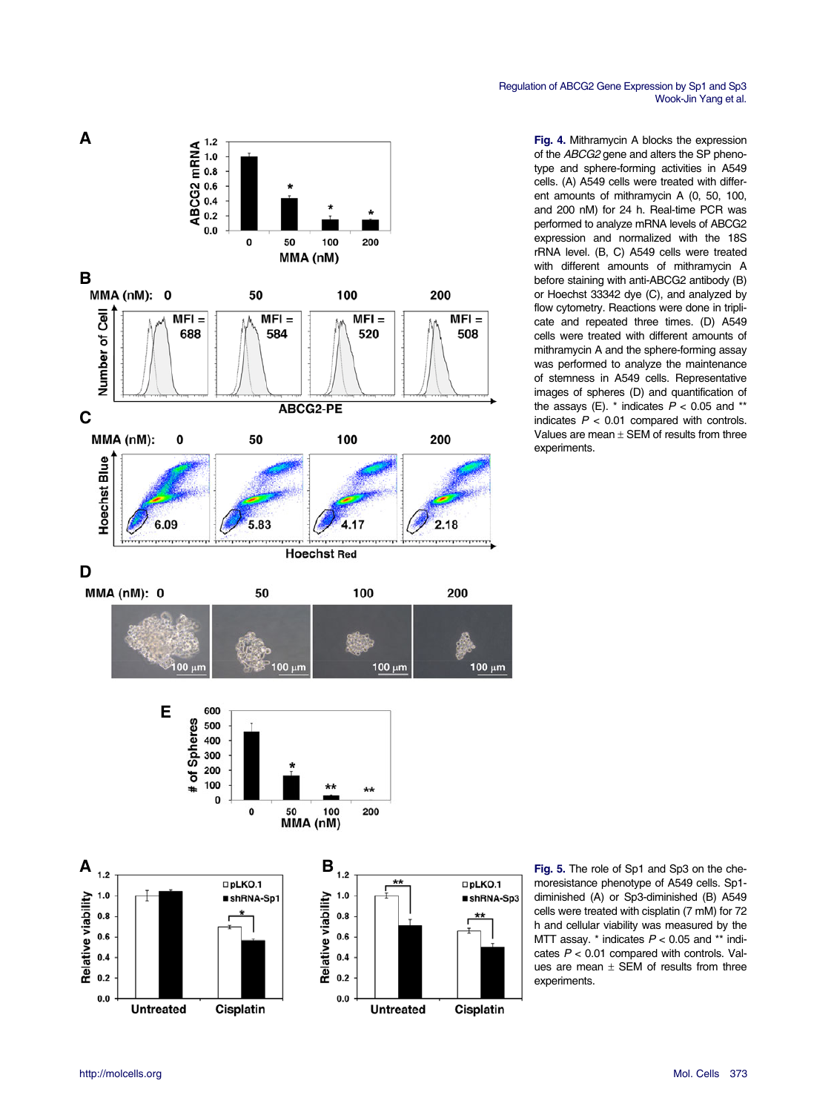

**Fig. 4.** Mithramycin A blocks the expression of the *ABCG2* gene and alters the SP phenotype and sphere-forming activities in A549 cells. (A) A549 cells were treated with different amounts of mithramycin A (0, 50, 100, and 200 nM) for 24 h. Real-time PCR was performed to analyze mRNA levels of ABCG2 expression and normalized with the 18S rRNA level. (B, C) A549 cells were treated with different amounts of mithramycin A before staining with anti-ABCG2 antibody (B) or Hoechst 33342 dye (C), and analyzed by flow cytometry. Reactions were done in triplicate and repeated three times. (D) A549 cells were treated with different amounts of mithramycin A and the sphere-forming assay was performed to analyze the maintenance of stemness in A549 cells. Representative images of spheres (D) and quantification of the assays (E).  $*$  indicates  $P < 0.05$  and  $**$ indicates *P* < 0.01 compared with controls. Values are mean  $\pm$  SEM of results from three experiments.



**Fig. 5.** The role of Sp1 and Sp3 on the chemoresistance phenotype of A549 cells. Sp1 diminished (A) or Sp3-diminished (B) A549 cells were treated with cisplatin (7 mM) for 72 h and cellular viability was measured by the MTT assay. \* indicates *P* < 0.05 and \*\* indicates *P* < 0.01 compared with controls. Values are mean  $\pm$  SEM of results from three experiments.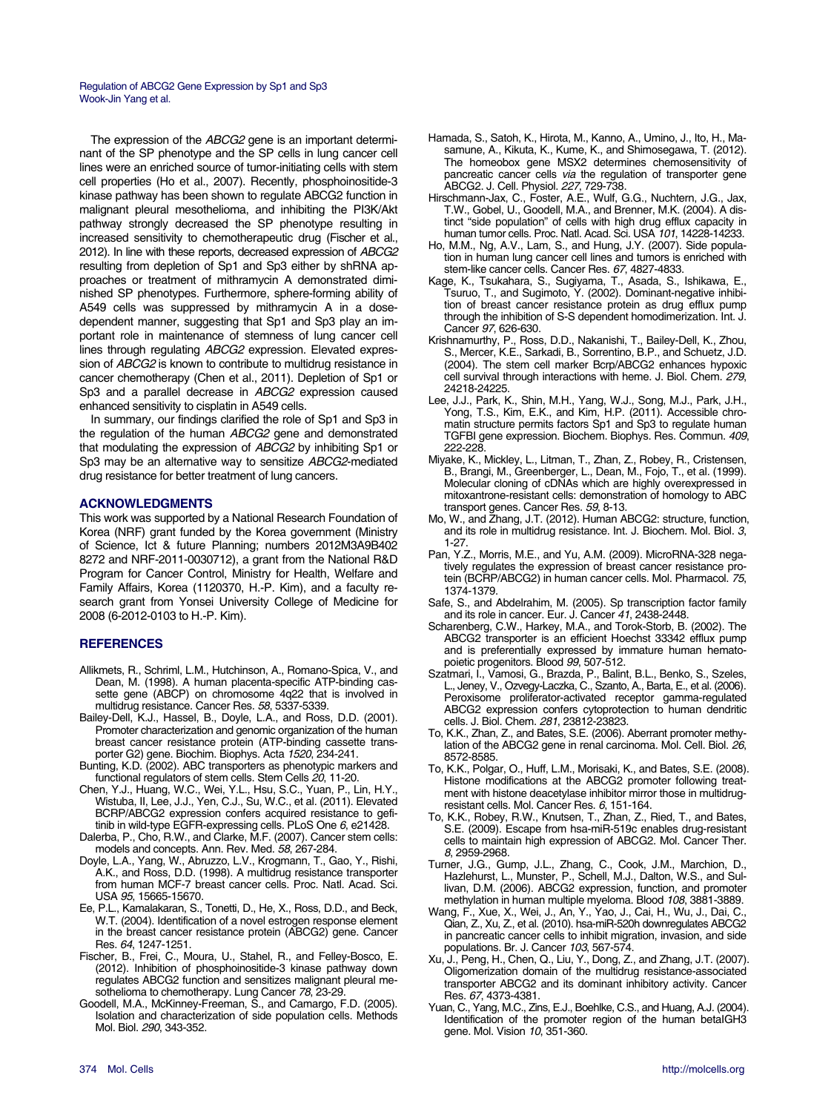The expression of the *ABCG2* gene is an important determinant of the SP phenotype and the SP cells in lung cancer cell lines were an enriched source of tumor-initiating cells with stem cell properties (Ho et al., 2007). Recently, phosphoinositide-3 kinase pathway has been shown to regulate ABCG2 function in malignant pleural mesothelioma, and inhibiting the PI3K/Akt pathway strongly decreased the SP phenotype resulting in increased sensitivity to chemotherapeutic drug (Fischer et al., 2012). In line with these reports, decreased expression of *ABCG2* resulting from depletion of Sp1 and Sp3 either by shRNA approaches or treatment of mithramycin A demonstrated diminished SP phenotypes. Furthermore, sphere-forming ability of A549 cells was suppressed by mithramycin A in a dosedependent manner, suggesting that Sp1 and Sp3 play an important role in maintenance of stemness of lung cancer cell lines through regulating *ABCG2* expression. Elevated expression of *ABCG2* is known to contribute to multidrug resistance in cancer chemotherapy (Chen et al., 2011). Depletion of Sp1 or Sp3 and a parallel decrease in *ABCG2* expression caused enhanced sensitivity to cisplatin in A549 cells.

In summary, our findings clarified the role of Sp1 and Sp3 in the regulation of the human *ABCG2* gene and demonstrated that modulating the expression of *ABCG2* by inhibiting Sp1 or Sp3 may be an alternative way to sensitize *ABCG2*-mediated drug resistance for better treatment of lung cancers.

## **ACKNOWLEDGMENTS**

This work was supported by a National Research Foundation of Korea (NRF) grant funded by the Korea government (Ministry of Science, Ict & future Planning; numbers 2012M3A9B402 8272 and NRF-2011-0030712), a grant from the National R&D Program for Cancer Control, Ministry for Health, Welfare and Family Affairs, Korea (1120370, H.-P. Kim), and a faculty research grant from Yonsei University College of Medicine for 2008 (6-2012-0103 to H.-P. Kim).

## **REFERENCES**

- Allikmets, R., Schriml, L.M., Hutchinson, A., Romano-Spica, V., and Dean, M. (1998). A human placenta-specific ATP-binding cassette gene (ABCP) on chromosome 4q22 that is involved in multidrug resistance. Cancer Res. *58*, 5337-5339.
- Bailey-Dell, K.J., Hassel, B., Doyle, L.A., and Ross, D.D. (2001). Promoter characterization and genomic organization of the human breast cancer resistance protein (ATP-binding cassette transporter G2) gene. Biochim. Biophys. Acta *1520*, 234-241.
- Bunting, K.D. (2002). ABC transporters as phenotypic markers and functional regulators of stem cells. Stem Cells *20*, 11-20.
- Chen, Y.J., Huang, W.C., Wei, Y.L., Hsu, S.C., Yuan, P., Lin, H.Y., Wistuba, II, Lee, J.J., Yen, C.J., Su, W.C., et al*.* (2011). Elevated BCRP/ABCG2 expression confers acquired resistance to gefitinib in wild-type EGFR-expressing cells. PLoS One *6*, e21428.
- Dalerba, P., Cho, R.W., and Clarke, M.F. (2007). Cancer stem cells: models and concepts. Ann. Rev. Med. *58*, 267-284.
- Doyle, L.A., Yang, W., Abruzzo, L.V., Krogmann, T., Gao, Y., Rishi, A.K., and Ross, D.D. (1998). A multidrug resistance transporter from human MCF-7 breast cancer cells. Proc. Natl. Acad. Sci. USA *95*, 15665-15670.
- Ee, P.L., Kamalakaran, S., Tonetti, D., He, X., Ross, D.D., and Beck, W.T. (2004). Identification of a novel estrogen response element in the breast cancer resistance protein (ABCG2) gene. Cancer Res. *64*, 1247-1251.
- Fischer, B., Frei, C., Moura, U., Stahel, R., and Felley-Bosco, E. (2012). Inhibition of phosphoinositide-3 kinase pathway down regulates ABCG2 function and sensitizes malignant pleural mesothelioma to chemotherapy. Lung Cancer *78*, 23-29.
- Goodell, M.A., McKinney-Freeman, S., and Camargo, F.D. (2005). Isolation and characterization of side population cells. Methods Mol. Biol. *290*, 343-352.
- Hamada, S., Satoh, K., Hirota, M., Kanno, A., Umino, J., Ito, H., Masamune, A., Kikuta, K., Kume, K., and Shimosegawa, T. (2012). The homeobox gene MSX2 determines chemosensitivity of pancreatic cancer cells *via* the regulation of transporter gene ABCG2. J. Cell. Physiol. *227*, 729-738.
- Hirschmann-Jax, C., Foster, A.E., Wulf, G.G., Nuchtern, J.G., Jax, T.W., Gobel, U., Goodell, M.A., and Brenner, M.K. (2004). A distinct "side population" of cells with high drug efflux capacity in human tumor cells. Proc. Natl. Acad. Sci. USA *101*, 14228-14233.
- Ho, M.M., Ng, A.V., Lam, S., and Hung, J.Y. (2007). Side population in human lung cancer cell lines and tumors is enriched with stem-like cancer cells. Cancer Res. *67*, 4827-4833.
- Kage, K., Tsukahara, S., Sugiyama, T., Asada, S., Ishikawa, E., Tsuruo, T., and Sugimoto, Y. (2002). Dominant-negative inhibition of breast cancer resistance protein as drug efflux pump through the inhibition of S-S dependent homodimerization. Int. J. Cancer *97*, 626-630.
- Krishnamurthy, P., Ross, D.D., Nakanishi, T., Bailey-Dell, K., Zhou, S., Mercer, K.E., Sarkadi, B., Sorrentino, B.P., and Schuetz, J.D. (2004). The stem cell marker Bcrp/ABCG2 enhances hypoxic cell survival through interactions with heme. J. Biol. Chem. *279*, 24218-24225.
- Lee, J.J., Park, K., Shin, M.H., Yang, W.J., Song, M.J., Park, J.H., Yong, T.S., Kim, E.K., and Kim, H.P. (2011). Accessible chromatin structure permits factors Sp1 and Sp3 to regulate human TGFBI gene expression. Biochem. Biophys. Res. Commun. *409*, 222-228.
- Miyake, K., Mickley, L., Litman, T., Zhan, Z., Robey, R., Cristensen, B., Brangi, M., Greenberger, L., Dean, M., Fojo, T., et al*.* (1999). Molecular cloning of cDNAs which are highly overexpressed in mitoxantrone-resistant cells: demonstration of homology to ABC transport genes. Cancer Res. *59*, 8-13.
- Mo, W., and Zhang, J.T. (2012). Human ABCG2: structure, function, and its role in multidrug resistance. Int. J. Biochem. Mol. Biol. *3*, 1-27.
- Pan, Y.Z., Morris, M.E., and Yu, A.M. (2009). MicroRNA-328 negatively regulates the expression of breast cancer resistance protein (BCRP/ABCG2) in human cancer cells. Mol. Pharmacol. *75*, 1374-1379.
- Safe, S., and Abdelrahim, M. (2005). Sp transcription factor family and its role in cancer. Eur. J. Cancer *41*, 2438-2448.
- Scharenberg, C.W., Harkey, M.A., and Torok-Storb, B. (2002). The ABCG2 transporter is an efficient Hoechst 33342 efflux pump and is preferentially expressed by immature human hematopoietic progenitors. Blood *99*, 507-512.
- Szatmari, I., Vamosi, G., Brazda, P., Balint, B.L., Benko, S., Szeles, L., Jeney, V., Ozvegy-Laczka, C., Szanto, A., Barta, E., et al. (2006). Peroxisome proliferator-activated receptor gamma-regulated ABCG2 expression confers cytoprotection to human dendritic cells. J. Biol. Chem. *281*, 23812-23823.
- To, K.K., Zhan, Z., and Bates, S.E. (2006). Aberrant promoter methylation of the ABCG2 gene in renal carcinoma. Mol. Cell. Biol. *26*, 8572-8585.
- To, K.K., Polgar, O., Huff, L.M., Morisaki, K., and Bates, S.E. (2008). Histone modifications at the ABCG2 promoter following treatment with histone deacetylase inhibitor mirror those in multidrugresistant cells. Mol. Cancer Res. *6*, 151-164.
- To, K.K., Robey, R.W., Knutsen, T., Zhan, Z., Ried, T., and Bates, S.E. (2009). Escape from hsa-miR-519c enables drug-resistant cells to maintain high expression of ABCG2. Mol. Cancer Ther. *8*, 2959-2968.
- Turner, J.G., Gump, J.L., Zhang, C., Cook, J.M., Marchion, D., Hazlehurst, L., Munster, P., Schell, M.J., Dalton, W.S., and Sullivan, D.M. (2006). ABCG2 expression, function, and promoter methylation in human multiple myeloma. Blood *108*, 3881-3889.
- Wang, F., Xue, X., Wei, J., An, Y., Yao, J., Cai, H., Wu, J., Dai, C., Qian, Z., Xu, Z., et al. (2010). hsa-miR-520h downregulates ABCG2 in pancreatic cancer cells to inhibit migration, invasion, and side populations. Br. J. Cancer *103*, 567-574.
- Xu, J., Peng, H., Chen, Q., Liu, Y., Dong, Z., and Zhang, J.T. (2007). Oligomerization domain of the multidrug resistance-associated transporter ABCG2 and its dominant inhibitory activity. Cancer Res. *67*, 4373-4381.
- Yuan, C., Yang, M.C., Zins, E.J., Boehlke, C.S., and Huang, A.J. (2004). Identification of the promoter region of the human betaIGH3 gene. Mol. Vision *10*, 351-360.